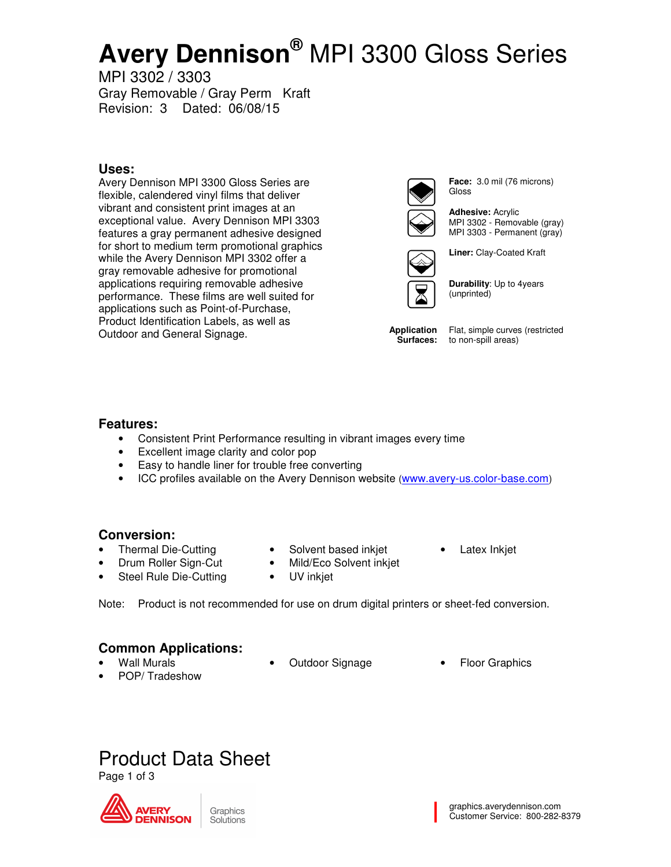# **Avery Dennison®** MPI 3300 Gloss Series

MPI 3302 / 3303 Gray Removable / Gray Perm Kraft Revision: 3 Dated: 06/08/15

### **Uses:**

Avery Dennison MPI 3300 Gloss Series are flexible, calendered vinyl films that deliver vibrant and consistent print images at an exceptional value. Avery Dennison MPI 3303 features a gray permanent adhesive designed for short to medium term promotional graphics while the Avery Dennison MPI 3302 offer a gray removable adhesive for promotional applications requiring removable adhesive performance. These films are well suited for applications such as Point-of-Purchase, Product Identification Labels, as well as Outdoor and General Signage.



**Face:** 3.0 mil (76 microns) Gloss

**Adhesive:** Acrylic MPI 3302 - Removable (gray) MPI 3303 - Permanent (gray)



**Durability**: Up to 4years (unprinted)

**Liner:** Clay-Coated Kraft

**Application Surfaces:** 

Flat, simple curves (restricted to non-spill areas)

### **Features:**

- Consistent Print Performance resulting in vibrant images every time
- Excellent image clarity and color pop
- Easy to handle liner for trouble free converting
- ICC profiles available on the Avery Dennison website (www.avery-us.color-base.com)

## **Conversion:**

- Thermal Die-Cutting
- Solvent based inkiet
- Latex Inkjet

- Drum Roller Sign-Cut Steel Rule Die-Cutting
- Mild/Eco Solvent inkjet UV inkjet

Note: Product is not recommended for use on drum digital printers or sheet-fed conversion.

### **Common Applications:**

- Wall Murals
- 
- Outdoor Signage **•** Floor Graphics
- POP/ Tradeshow
- 
- Product Data Sheet

Page 1 of 3

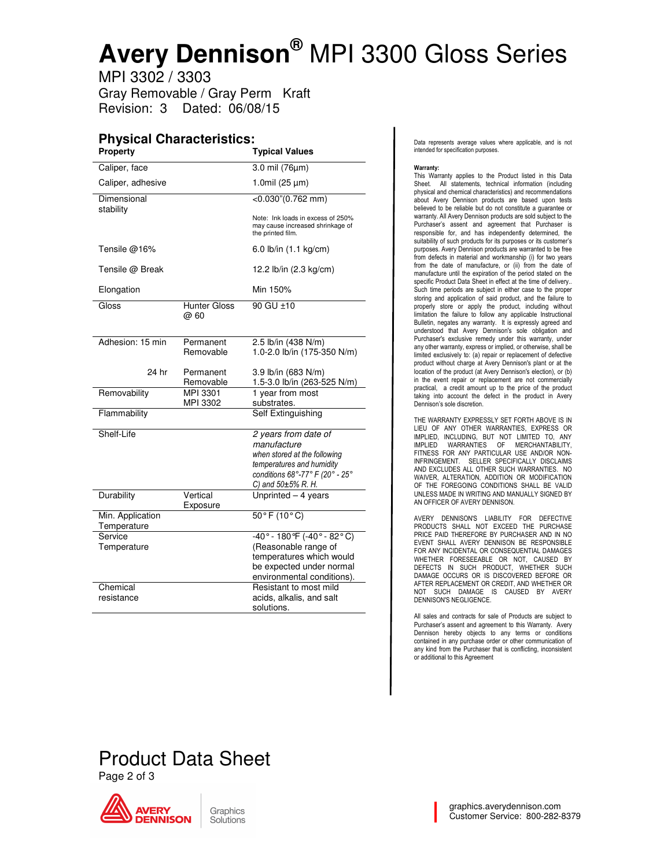# **Avery Dennison®** MPI 3300 Gloss Series

MPI 3302 / 3303 Gray Removable / Gray Perm Kraft Revision: 3 Dated: 06/08/15

# **Physical Characteristics:**

| <b>Property</b>                 |                             | <b>Typical Values</b>                                                                                                                                          |
|---------------------------------|-----------------------------|----------------------------------------------------------------------------------------------------------------------------------------------------------------|
| Caliper, face                   |                             | 3.0 mil (76µm)                                                                                                                                                 |
| Caliper, adhesive               |                             | 1.0mil $(25 \mu m)$                                                                                                                                            |
| Dimensional<br>stability        |                             | $<$ 0.030"(0.762 mm)                                                                                                                                           |
|                                 |                             | Note: Ink loads in excess of 250%<br>may cause increased shrinkage of<br>the printed film.                                                                     |
| Tensile @16%                    |                             | 6.0 lb/in (1.1 kg/cm)                                                                                                                                          |
| Tensile @ Break                 |                             | 12.2 lb/in (2.3 kg/cm)                                                                                                                                         |
| Elongation                      |                             | Min 150%                                                                                                                                                       |
| Gloss                           | <b>Hunter Gloss</b><br>@ 60 | 90 GU ±10                                                                                                                                                      |
|                                 |                             |                                                                                                                                                                |
| Adhesion: 15 min                | Permanent<br>Removable      | 2.5 lb/in (438 N/m)<br>1.0-2.0 lb/in (175-350 N/m)                                                                                                             |
| 24 hr                           | Permanent<br>Removable      | 3.9 lb/in (683 N/m)<br>1.5-3.0 lb/in (263-525 N/m)                                                                                                             |
| Removability                    | MPI 3301<br>MPI 3302        | 1 year from most<br>substrates.                                                                                                                                |
| Flammability                    |                             | Self Extinguishing                                                                                                                                             |
| Shelf-Life                      |                             | 2 years from date of<br>manufacture<br>when stored at the following<br>temperatures and humidity<br>conditions 68°-77° F (20° - 25°<br>C) and $50\pm5\%$ R. H. |
| Durability                      | Vertical<br>Exposure        | Unprinted - 4 years                                                                                                                                            |
| Min. Application<br>Temperature |                             | $50^{\circ}$ F (10 $^{\circ}$ C)                                                                                                                               |
| Service                         |                             | $-40^{\circ} - 180^{\circ}F (-40^{\circ} - 82^{\circ}C)$                                                                                                       |
| Temperature                     |                             | (Reasonable range of                                                                                                                                           |
|                                 |                             | temperatures which would                                                                                                                                       |
|                                 |                             | be expected under normal                                                                                                                                       |
| Chemical                        |                             | environmental conditions).<br>Resistant to most mild                                                                                                           |
| resistance                      |                             | acids, alkalis, and salt                                                                                                                                       |
|                                 |                             | solutions.                                                                                                                                                     |

Data represents average values where applicable, and is not intended for specification purposes.

#### Warranty:

This Warranty applies to the Product listed in this Data Sheet. All statements, technical information (including physical and chemical characteristics) and recommendations about Avery Dennison products are based upon tests believed to be reliable but do not constitute a guarantee or warranty. All Avery Dennison products are sold subject to the Purchaser's assent and agreement that Purchaser is responsible for, and has independently determined, the suitability of such products for its purposes or its customer's purposes. Avery Dennison products are warranted to be free from defects in material and workmanship (i) for two years from the date of manufacture, or (ii) from the date of manufacture until the expiration of the period stated on the specific Product Data Sheet in effect at the time of delivery.. Such time periods are subject in either case to the proper storing and application of said product, and the failure to properly store or apply the product, including without limitation the failure to follow any applicable Instructional Bulletin, negates any warranty. It is expressly agreed and understood that Avery Dennison's sole obligation and Purchaser's exclusive remedy under this warranty, under any other warranty, express or implied, or otherwise, shall be limited exclusively to: (a) repair or replacement of defective product without charge at Avery Dennison's plant or at the location of the product (at Avery Dennison's election), or (b) in the event repair or replacement are not commercially practical, a credit amount up to the price of the product taking into account the defect in the product in Avery Dennison's sole discretion.

THE WARRANTY EXPRESSLY SET FORTH ABOVE IS IN LIEU OF ANY OTHER WARRANTIES, EXPRESS OR IMPLIED, INCLUDING, BUT NOT LIMITED TO, ANY IMPLIED WARRANTIES OF MERCHANTABILITY, FITNESS FOR ANY PARTICULAR USE AND/OR NON-INFRINGEMENT. SELLER SPECIFICALLY DISCLAIMS AND EXCLUDES ALL OTHER SUCH WARRANTIES. NO WAIVER, ALTERATION, ADDITION OR MODIFICATION OF THE FOREGOING CONDITIONS SHALL BE VALID UNLESS MADE IN WRITING AND MANUALLY SIGNED BY AN OFFICER OF AVERY DENNISON.

AVERY DENNISON'S LIABILITY FOR DEFECTIVE PRODUCTS SHALL NOT EXCEED THE PURCHASE PRICE PAID THEREFORE BY PURCHASER AND IN NO EVENT SHALL AVERY DENNISON BE RESPONSIBLE FOR ANY INCIDENTAL OR CONSEQUENTIAL DAMAGES WHETHER FORESEEABLE OR NOT, CAUSED BY DEFECTS IN SUCH PRODUCT, WHETHER SUCH DAMAGE OCCURS OR IS DISCOVERED BEFORE OR AFTER REPLACEMENT OR CREDIT, AND WHETHER OR NOT SUCH DAMAGE IS CAUSED BY AVERY DENNISON'S NEGLIGENCE.

All sales and contracts for sale of Products are subject to Purchaser's assent and agreement to this Warranty. Avery Dennison hereby objects to any terms or conditions contained in any purchase order or other communication of any kind from the Purchaser that is conflicting, inconsistent or additional to this Agreement

# Product Data Sheet Page 2 of 3